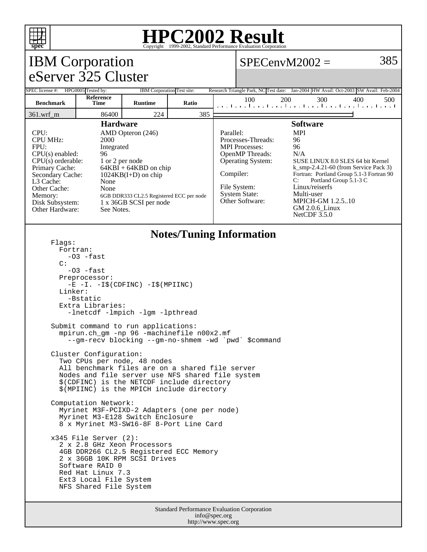

## **HPC2002 Result**  $\overline{\text{Copyright}} \textcircled{\scriptsize{1999-2002}}$ , Standard Performance

## Standard Performance Evaluation Corporation IBM Corporation eServer 325 Cluster  $SPECenvM2002 = 385$ SPEC license #: HPG0005 Tested by: IBM Corporation Test site: Research Triangle Park, NC Test date: Jan-2004 HW Avail: Oct-2003 SW Avail: Feb-2004 **Benchmark Reference Time Runtime Ratio** 100 200 300 400 500 361.wrf\_m 86400 224 385 **Hardware** CPU: AMD Opteron (246) CPU MHz: 2000 FPU: Integrated  $CPU(s)$  enabled: 96<br>CPU(s) orderable: 1 or 2 per node CPU(s) orderable:<br>Primary Cache:  $64KBI + 64KBD$  on chip Secondary Cache: 1024KB(I+D) on chip L3 Cache: None Other Cache: None Memory: 6GB DDR333 CL2.5 Registered ECC per node<br>Disk Subsystem: 1 x 36GB SCSI per node 1 x 36GB SCSI per node Other Hardware: See Notes. **Software** Parallel: MPI Processes-Threads: 96 MPI Processes: 96 OpenMP Threads: N/A Operating System: SUSE LINUX 8.0 SLES 64 bit Kernel k\_smp-2.4.21-60 (from Service Pack 3) Compiler: Fortran: Portland Group 5.1-3 Fortran 90<br>C: Portland Group 5.1-3 C Portland Group 5.1-3 C File System: Linux/reiserfs System State: Multi-user<br>Other Software: MPICH-G **MPICH-GM 1.2.5..10** GM 2.0.6\_Linux NetCDF 3.5.0 **Notes/Tuning Information** Flags: Fortran: -O3 -fast C:  $-03$   $-$ fast Preprocessor: -E -I. -I\$(CDFINC) -I\$(MPIINC) Linker: -Bstatic Extra Libraries: -lnetcdf -lmpich -lgm -lpthread Submit command to run applications: mpirun.ch\_gm -np 96 -machinefile n00x2.mf --gm-recv blocking --gm-no-shmem -wd `pwd` \$command Cluster Configuration: Two CPUs per node, 48 nodes All benchmark files are on a shared file server Nodes and file server use NFS shared file system \$(CDFINC) is the NETCDF include directory \$(MPIINC) is the MPICH include directory Computation Network: Myrinet M3F-PCIXD-2 Adapters (one per node) Myrinet M3-E128 Switch Enclosure 8 x Myrinet M3-SW16-8F 8-Port Line Card x345 File Server (2): 2 x 2.8 GHz Xeon Processors 4GB DDR266 CL2.5 Registered ECC Memory 2 x 36GB 10K RPM SCSI Drives Software RAID 0 Red Hat Linux 7.3 Ext3 Local File System NFS Shared File System

info@spec.org http://www.spec.org